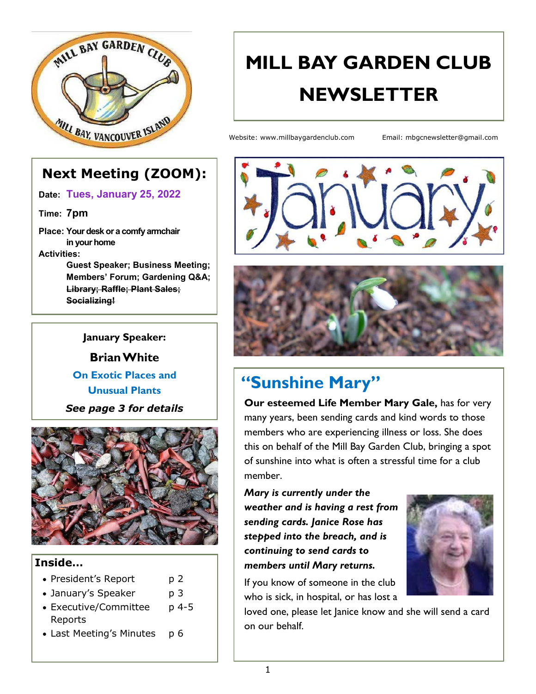

## **MILL BAY GARDEN CLUB NEWSLETTER**

Website: www.millbaygardenclub.com Email: mbgcnewsletter@gmail.com

## **Next Meeting (ZOOM):**

**Date: Tues, January 25, 2022**

**Time: 7pm**

**Place: Your desk or a comfy armchair in your home Activities:**

> **Guest Speaker; Business Meeting; Members' Forum; Gardening Q&A; Library; Raffle; Plant Sales; Socializing!**

#### **January Speaker:**

**Brian White**

#### **On Exotic Places and Unusual Plants**

*See page 3 for details*



#### **Inside…**

- President's Report p 2
- January's Speaker p 3
- Executive/Committee p 4-5 Reports
- Last Meeting's Minutes p 6





## **"Sunshine Mary"**

**Our esteemed Life Member Mary Gale,** has for very many years, been sending cards and kind words to those members who are experiencing illness or loss. She does this on behalf of the Mill Bay Garden Club, bringing a spot of sunshine into what is often a stressful time for a club member.

*Mary is currently under the weather and is having a rest from sending cards. Janice Rose has stepped into the breach, and is continuing to send cards to members until Mary returns.* 



If you know of someone in the club who is sick, in hospital, or has lost a

loved one, please let Janice know and she will send a card on our behalf.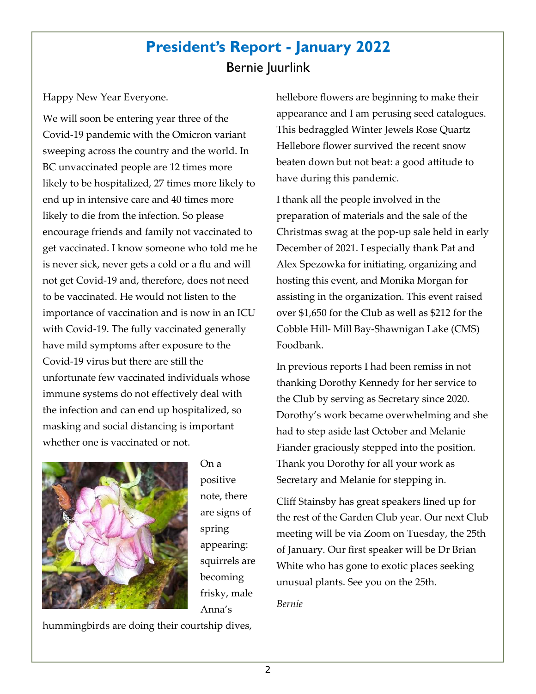## **President's Report - January 2022**  Bernie Juurlink

Happy New Year Everyone.

We will soon be entering year three of the Covid-19 pandemic with the Omicron variant sweeping across the country and the world. In BC unvaccinated people are 12 times more likely to be hospitalized, 27 times more likely to end up in intensive care and 40 times more likely to die from the infection. So please encourage friends and family not vaccinated to get vaccinated. I know someone who told me he is never sick, never gets a cold or a flu and will not get Covid-19 and, therefore, does not need to be vaccinated. He would not listen to the importance of vaccination and is now in an ICU with Covid-19. The fully vaccinated generally have mild symptoms after exposure to the Covid-19 virus but there are still the unfortunate few vaccinated individuals whose immune systems do not effectively deal with the infection and can end up hospitalized, so masking and social distancing is important whether one is vaccinated or not.



On a positive note, there are signs of spring appearing: squirrels are becoming frisky, male Anna's

hummingbirds are doing their courtship dives,

hellebore flowers are beginning to make their appearance and I am perusing seed catalogues. This bedraggled Winter Jewels Rose Quartz Hellebore flower survived the recent snow beaten down but not beat: a good attitude to have during this pandemic.

I thank all the people involved in the preparation of materials and the sale of the Christmas swag at the pop-up sale held in early December of 2021. I especially thank Pat and Alex Spezowka for initiating, organizing and hosting this event, and Monika Morgan for assisting in the organization. This event raised over \$1,650 for the Club as well as \$212 for the Cobble Hill- Mill Bay-Shawnigan Lake (CMS) Foodbank.

In previous reports I had been remiss in not thanking Dorothy Kennedy for her service to the Club by serving as Secretary since 2020. Dorothy's work became overwhelming and she had to step aside last October and Melanie Fiander graciously stepped into the position. Thank you Dorothy for all your work as Secretary and Melanie for stepping in.

Cliff Stainsby has great speakers lined up for the rest of the Garden Club year. Our next Club meeting will be via Zoom on Tuesday, the 25th of January. Our first speaker will be Dr Brian White who has gone to exotic places seeking unusual plants. See you on the 25th.

#### *Bernie*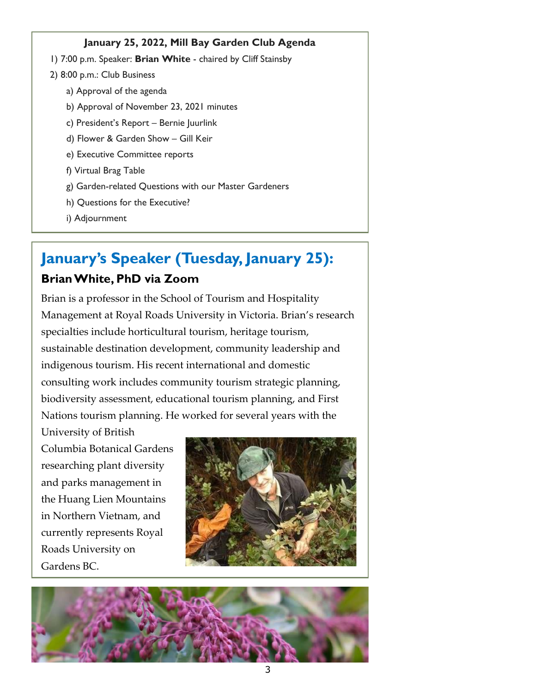#### **January 25, 2022, Mill Bay Garden Club Agenda**

- 1) 7:00 p.m. Speaker: **Brian White**  chaired by Cliff Stainsby
- 2) 8:00 p.m.: Club Business
	- a) Approval of the agenda
	- b) Approval of November 23, 2021 minutes
	- c) President's Report Bernie Juurlink
	- d) Flower & Garden Show Gill Keir
	- e) Executive Committee reports
	- f) Virtual Brag Table
	- g) Garden-related Questions with our Master Gardeners
	- h) Questions for the Executive?
	- i) Adjournment

## **January's Speaker (Tuesday, January 25):**

#### **Brian White, PhD via Zoom**

Brian is a professor in the School of Tourism and Hospitality Management at Royal Roads University in Victoria. Brian's research specialties include horticultural tourism, heritage tourism, sustainable destination development, community leadership and indigenous tourism. His recent international and domestic consulting work includes community tourism strategic planning, biodiversity assessment, educational tourism planning, and First Nations tourism planning. He worked for several years with the

University of British Columbia Botanical Gardens researching plant diversity and parks management in the Huang Lien Mountains in Northern Vietnam, and currently represents Royal Roads University on Gardens BC.



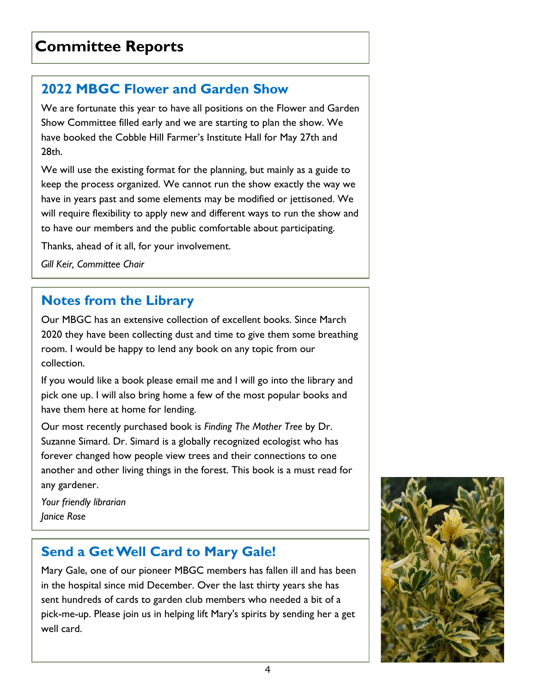### **2022 MBGC Flower and Garden Show**

We are fortunate this year to have all positions on the Flower and Garden Show Committee filled early and we are starting to plan the show. We have booked the Cobble Hill Farmer's Institute Hall for May 27th and 28th.

We will use the existing format for the planning, but mainly as a guide to keep the process organized. We cannot run the show exactly the way we have in years past and some elements may be modified or jettisoned. We will require flexibility to apply new and different ways to run the show and to have our members and the public comfortable about participating.

Thanks, ahead of it all, for your involvement.

*Gill Keir, Committee Chair* 

## **Notes from the Library**

Our MBGC has an extensive collection of excellent books. Since March 2020 they have been collecting dust and time to give them some breathing room. I would be happy to lend any book on any topic from our collection.

If you would like a book please email me and I will go into the library and pick one up. I will also bring home a few of the most popular books and have them here at home for lending.

Our most recently purchased book is *Finding The Mother Tree* by Dr. Suzanne Simard. Dr. Simard is a globally recognized ecologist who has forever changed how people view trees and their connections to one another and other living things in the forest. This book is a must read for any gardener.

*Your friendly librarian Janice Rose* 

## **Send a Get Well Card to Mary Gale!**

Mary Gale, one of our pioneer MBGC members has fallen ill and has been in the hospital since mid December. Over the last thirty years she has sent hundreds of cards to garden club members who needed a bit of a pick-me-up. Please join us in helping lift Mary's spirits by sending her a get well card.

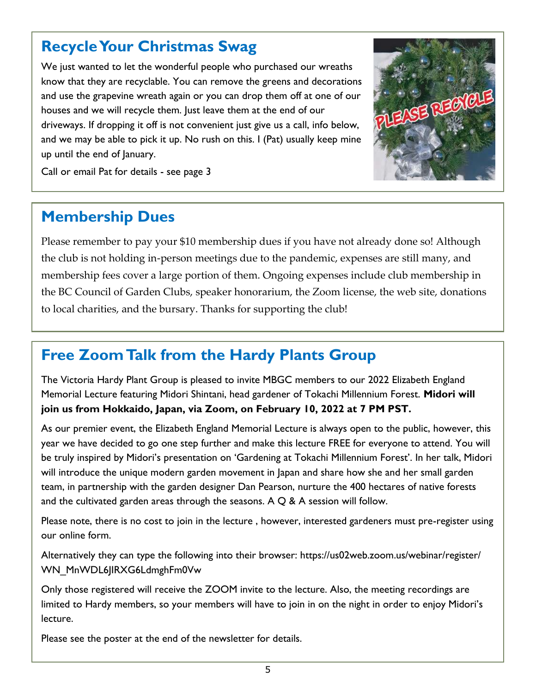## **Recycle Your Christmas Swag**

We just wanted to let the wonderful people who purchased our wreaths know that they are recyclable. You can remove the greens and decorations and use the grapevine wreath again or you can drop them off at one of our houses and we will recycle them. Just leave them at the end of our driveways. If dropping it off is not convenient just give us a call, info below, and we may be able to pick it up. No rush on this. I (Pat) usually keep mine up until the end of January.



Call or email Pat for details - see page 3

## **Membership Dues**

Please remember to pay your \$10 membership dues if you have not already done so! Although the club is not holding in-person meetings due to the pandemic, expenses are still many, and membership fees cover a large portion of them. Ongoing expenses include club membership in the BC Council of Garden Clubs, speaker honorarium, the Zoom license, the web site, donations to local charities, and the bursary. Thanks for supporting the club!

## **Free Zoom Talk from the Hardy Plants Group**

The Victoria Hardy Plant Group is pleased to invite MBGC members to our 2022 Elizabeth England Memorial Lecture featuring Midori Shintani, head gardener of Tokachi Millennium Forest. **Midori will join us from Hokkaido, Japan, via Zoom, on February 10, 2022 at 7 PM PST.** 

As our premier event, the Elizabeth England Memorial Lecture is always open to the public, however, this year we have decided to go one step further and make this lecture FREE for everyone to attend. You will be truly inspired by Midori's presentation on 'Gardening at Tokachi Millennium Forest'. In her talk, Midori will introduce the unique modern garden movement in Japan and share how she and her small garden team, in partnership with the garden designer Dan Pearson, nurture the 400 hectares of native forests and the cultivated garden areas through the seasons. A  $Q$  & A session will follow.

Please note, there is no cost to join in the lecture , however, interested gardeners must pre-register using our online form.

Alternatively they can type the following into their browser: https://us02web.zoom.us/webinar/register/ WN\_MnWDL6JIRXG6LdmghFm0Vw

Only those registered will receive the ZOOM invite to the lecture. Also, the meeting recordings are limited to Hardy members, so your members will have to join in on the night in order to enjoy Midori's lecture.

Please see the poster at the end of the newsletter for details.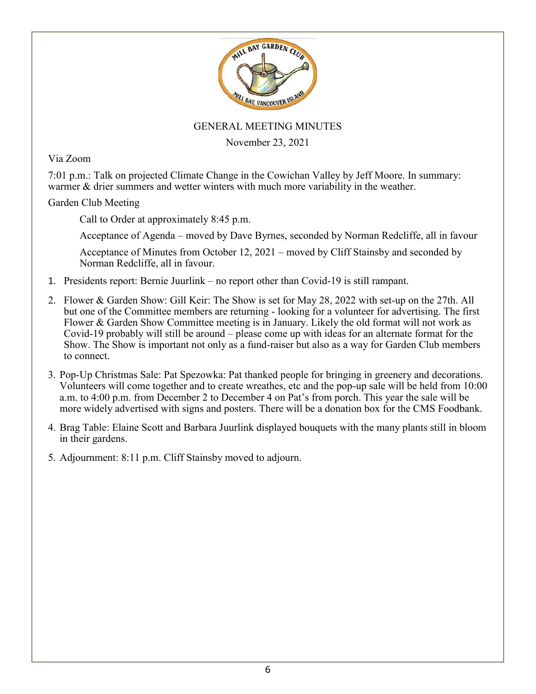

#### GENERAL MEETING MINUTES

November 23, 2021

Via Zoom

7:01 p.m.: Talk on projected Climate Change in the Cowichan Valley by Jeff Moore. In summary: warmer & drier summers and wetter winters with much more variability in the weather.

Garden Club Meeting

Call to Order at approximately 8:45 p.m.

Acceptance of Agenda – moved by Dave Byrnes, seconded by Norman Redcliffe, all in favour

Acceptance of Minutes from October 12, 2021 – moved by Cliff Stainsby and seconded by Norman Redcliffe, all in favour.

- 1. Presidents report: Bernie Juurlink no report other than Covid-19 is still rampant.
- 2. Flower & Garden Show: Gill Keir: The Show is set for May 28, 2022 with set-up on the 27th. All but one of the Committee members are returning - looking for a volunteer for advertising. The first Flower & Garden Show Committee meeting is in January. Likely the old format will not work as Covid-19 probably will still be around – please come up with ideas for an alternate format for the Show. The Show is important not only as a fund-raiser but also as a way for Garden Club members to connect.
- 3. Pop-Up Christmas Sale: Pat Spezowka: Pat thanked people for bringing in greenery and decorations. Volunteers will come together and to create wreathes, etc and the pop-up sale will be held from 10:00 a.m. to 4:00 p.m. from December 2 to December 4 on Pat's from porch. This year the sale will be more widely advertised with signs and posters. There will be a donation box for the CMS Foodbank.
- 4. Brag Table: Elaine Scott and Barbara Juurlink displayed bouquets with the many plants still in bloom in their gardens.
- 5. Adjournment: 8:11 p.m. Cliff Stainsby moved to adjourn.